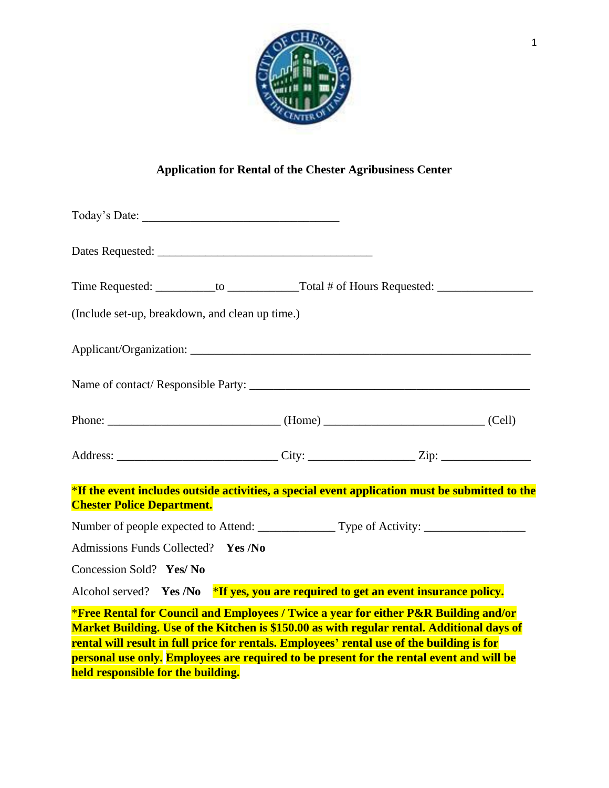

## **Application for Rental of the Chester Agribusiness Center**

| Time Requested: ____________to _______________Total # of Hours Requested: __________________________                                                                                                                                                                                                                                                                         |  |  |  |  |
|------------------------------------------------------------------------------------------------------------------------------------------------------------------------------------------------------------------------------------------------------------------------------------------------------------------------------------------------------------------------------|--|--|--|--|
| (Include set-up, breakdown, and clean up time.)                                                                                                                                                                                                                                                                                                                              |  |  |  |  |
|                                                                                                                                                                                                                                                                                                                                                                              |  |  |  |  |
|                                                                                                                                                                                                                                                                                                                                                                              |  |  |  |  |
| Phone: (Cell)                                                                                                                                                                                                                                                                                                                                                                |  |  |  |  |
|                                                                                                                                                                                                                                                                                                                                                                              |  |  |  |  |
| *If the event includes outside activities, a special event application must be submitted to the<br><b>Chester Police Department.</b>                                                                                                                                                                                                                                         |  |  |  |  |
|                                                                                                                                                                                                                                                                                                                                                                              |  |  |  |  |
| Admissions Funds Collected? Yes /No                                                                                                                                                                                                                                                                                                                                          |  |  |  |  |
| Concession Sold? Yes/ No                                                                                                                                                                                                                                                                                                                                                     |  |  |  |  |
| Alcohol served? Yes /No *If yes, you are required to get an event insurance policy.                                                                                                                                                                                                                                                                                          |  |  |  |  |
| *Free Rental for Council and Employees / Twice a year for either P&R Building and/or<br>Market Building. Use of the Kitchen is \$150.00 as with regular rental. Additional days of<br>rental will result in full price for rentals. Employees' rental use of the building is for<br>personal use only. Employees are required to be present for the rental event and will be |  |  |  |  |

**held responsible for the building.**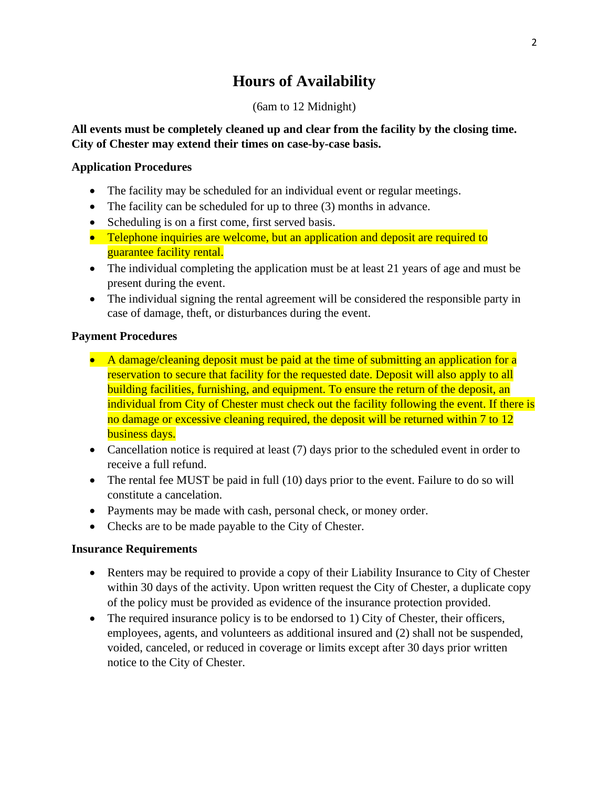## **Hours of Availability**

### (6am to 12 Midnight)

## **All events must be completely cleaned up and clear from the facility by the closing time. City of Chester may extend their times on case-by-case basis.**

## **Application Procedures**

- The facility may be scheduled for an individual event or regular meetings.
- The facility can be scheduled for up to three (3) months in advance.
- Scheduling is on a first come, first served basis.
- Telephone inquiries are welcome, but an application and deposit are required to guarantee facility rental.
- The individual completing the application must be at least 21 years of age and must be present during the event.
- The individual signing the rental agreement will be considered the responsible party in case of damage, theft, or disturbances during the event.

## **Payment Procedures**

- A damage/cleaning deposit must be paid at the time of submitting an application for a reservation to secure that facility for the requested date. Deposit will also apply to all building facilities, furnishing, and equipment. To ensure the return of the deposit, an individual from City of Chester must check out the facility following the event. If there is no damage or excessive cleaning required, the deposit will be returned within 7 to 12 business days.
- Cancellation notice is required at least (7) days prior to the scheduled event in order to receive a full refund.
- The rental fee MUST be paid in full (10) days prior to the event. Failure to do so will constitute a cancelation.
- Payments may be made with cash, personal check, or money order.
- Checks are to be made payable to the City of Chester.

## **Insurance Requirements**

- Renters may be required to provide a copy of their Liability Insurance to City of Chester within 30 days of the activity. Upon written request the City of Chester, a duplicate copy of the policy must be provided as evidence of the insurance protection provided.
- The required insurance policy is to be endorsed to 1) City of Chester, their officers, employees, agents, and volunteers as additional insured and (2) shall not be suspended, voided, canceled, or reduced in coverage or limits except after 30 days prior written notice to the City of Chester.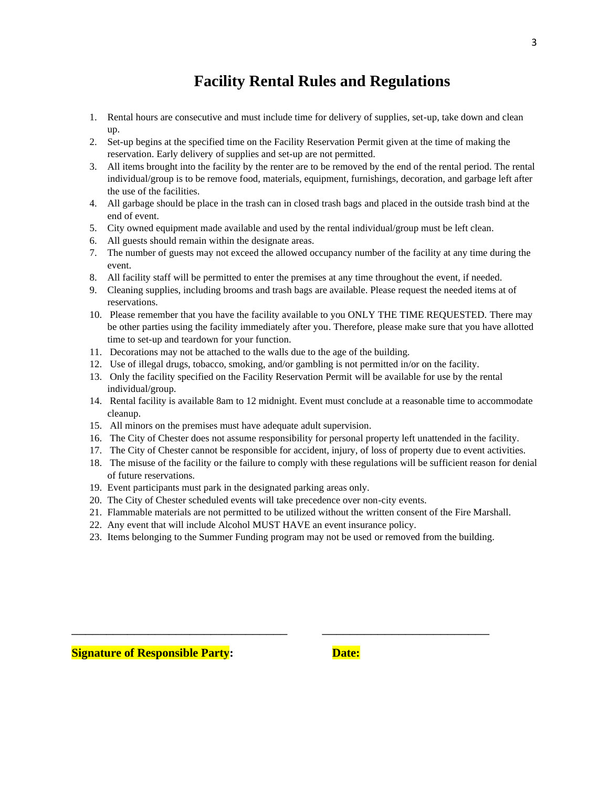## **Facility Rental Rules and Regulations**

- 1. Rental hours are consecutive and must include time for delivery of supplies, set-up, take down and clean up.
- 2. Set-up begins at the specified time on the Facility Reservation Permit given at the time of making the reservation. Early delivery of supplies and set-up are not permitted.
- 3. All items brought into the facility by the renter are to be removed by the end of the rental period. The rental individual/group is to be remove food, materials, equipment, furnishings, decoration, and garbage left after the use of the facilities.
- 4. All garbage should be place in the trash can in closed trash bags and placed in the outside trash bind at the end of event.
- 5. City owned equipment made available and used by the rental individual/group must be left clean.
- 6. All guests should remain within the designate areas.
- 7. The number of guests may not exceed the allowed occupancy number of the facility at any time during the event.
- 8. All facility staff will be permitted to enter the premises at any time throughout the event, if needed.
- 9. Cleaning supplies, including brooms and trash bags are available. Please request the needed items at of reservations.
- 10. Please remember that you have the facility available to you ONLY THE TIME REQUESTED. There may be other parties using the facility immediately after you. Therefore, please make sure that you have allotted time to set-up and teardown for your function.
- 11. Decorations may not be attached to the walls due to the age of the building.
- 12. Use of illegal drugs, tobacco, smoking, and/or gambling is not permitted in/or on the facility.
- 13. Only the facility specified on the Facility Reservation Permit will be available for use by the rental individual/group.
- 14. Rental facility is available 8am to 12 midnight. Event must conclude at a reasonable time to accommodate cleanup.
- 15. All minors on the premises must have adequate adult supervision.
- 16. The City of Chester does not assume responsibility for personal property left unattended in the facility.
- 17. The City of Chester cannot be responsible for accident, injury, of loss of property due to event activities.
- 18. The misuse of the facility or the failure to comply with these regulations will be sufficient reason for denial of future reservations.
- 19. Event participants must park in the designated parking areas only.
- 20. The City of Chester scheduled events will take precedence over non-city events.
- 21. Flammable materials are not permitted to be utilized without the written consent of the Fire Marshall.
- 22. Any event that will include Alcohol MUST HAVE an event insurance policy.
- 23. Items belonging to the Summer Funding program may not be used or removed from the building.

\_\_\_\_\_\_\_\_\_\_\_\_\_\_\_\_\_\_\_\_\_\_\_\_\_\_\_\_\_\_\_ \_\_\_\_\_\_\_\_\_\_\_\_\_\_\_\_\_\_\_\_\_\_\_\_

3

**Signature of Responsible Party:** Date:

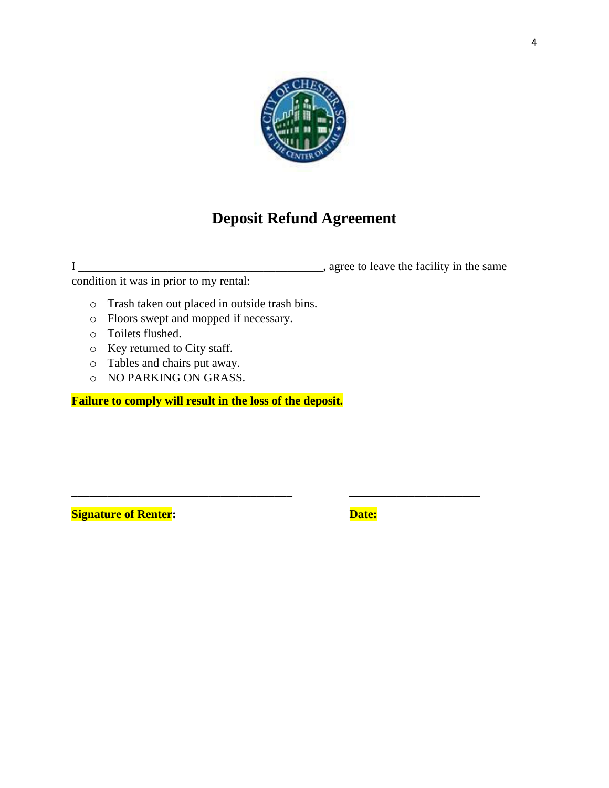

# **Deposit Refund Agreement**

**\_\_\_\_\_\_\_\_\_\_\_\_\_\_\_\_\_\_\_\_\_\_\_\_\_\_\_\_\_\_\_\_\_\_\_\_\_ \_\_\_\_\_\_\_\_\_\_\_\_\_\_\_\_\_\_\_\_\_\_**

I \_\_\_\_\_\_\_\_\_\_\_\_\_\_\_\_\_\_\_\_\_\_\_\_\_\_\_\_\_\_\_\_\_\_\_\_\_\_\_\_\_, agree to leave the facility in the same

condition it was in prior to my rental:

- o Trash taken out placed in outside trash bins.
- o Floors swept and mopped if necessary.
- o Toilets flushed.
- o Key returned to City staff.
- o Tables and chairs put away.
- o NO PARKING ON GRASS.

**Failure to comply will result in the loss of the deposit.**

**Signature of Renter:** The Contract of Text of Pate: